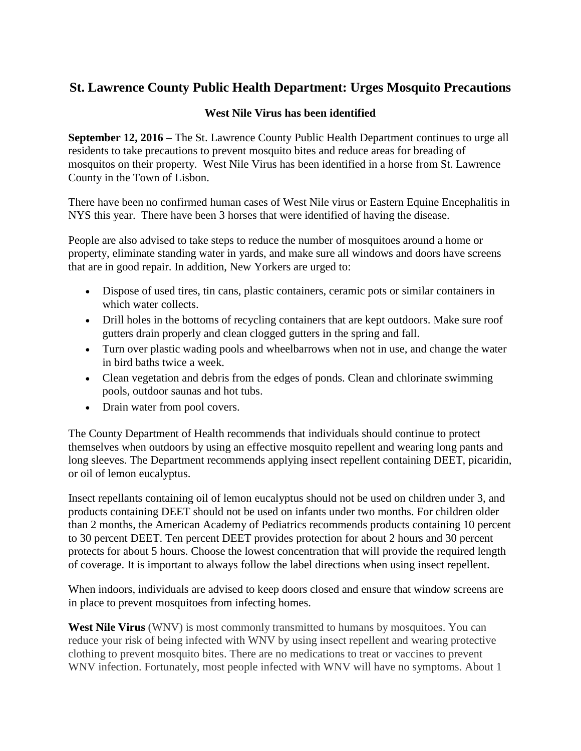## **St. Lawrence County Public Health Department: Urges Mosquito Precautions**

## **West Nile Virus has been identified**

**September 12, 2016 –** The St. Lawrence County Public Health Department continues to urge all residents to take precautions to prevent mosquito bites and reduce areas for breading of mosquitos on their property. West Nile Virus has been identified in a horse from St. Lawrence County in the Town of Lisbon.

There have been no confirmed human cases of West Nile virus or Eastern Equine Encephalitis in NYS this year. There have been 3 horses that were identified of having the disease.

People are also advised to take steps to reduce the number of mosquitoes around a home or property, eliminate standing water in yards, and make sure all windows and doors have screens that are in good repair. In addition, New Yorkers are urged to:

- Dispose of used tires, tin cans, plastic containers, ceramic pots or similar containers in which water collects.
- Drill holes in the bottoms of recycling containers that are kept outdoors. Make sure roof gutters drain properly and clean clogged gutters in the spring and fall.
- Turn over plastic wading pools and wheelbarrows when not in use, and change the water in bird baths twice a week.
- Clean vegetation and debris from the edges of ponds. Clean and chlorinate swimming pools, outdoor saunas and hot tubs.
- Drain water from pool covers.

The County Department of Health recommends that individuals should continue to protect themselves when outdoors by using an effective mosquito repellent and wearing long pants and long sleeves. The Department recommends applying insect repellent containing DEET, picaridin, or oil of lemon eucalyptus.

Insect repellants containing oil of lemon eucalyptus should not be used on children under 3, and products containing DEET should not be used on infants under two months. For children older than 2 months, the American Academy of Pediatrics recommends products containing 10 percent to 30 percent DEET. Ten percent DEET provides protection for about 2 hours and 30 percent protects for about 5 hours. Choose the lowest concentration that will provide the required length of coverage. It is important to always follow the label directions when using insect repellent.

When indoors, individuals are advised to keep doors closed and ensure that window screens are in place to prevent mosquitoes from infecting homes.

**West Nile Virus** (WNV) is most commonly transmitted to humans by mosquitoes. You can reduce your risk of being infected with WNV by using insect repellent and wearing protective clothing to prevent mosquito bites. There are no medications to treat or vaccines to prevent WNV infection. Fortunately, most people infected with WNV will have no symptoms. About 1